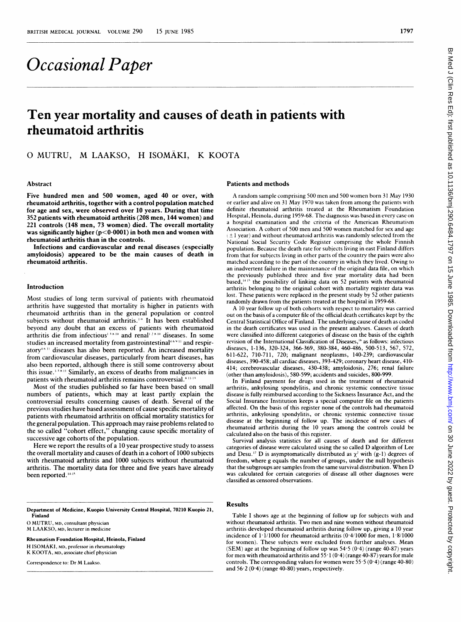# Occasional Paper

## Ten year mortality and causes of death in patients with rheumatoid arthritis

### O MUTRU, M LAAKSO, H ISOMÄKI, K KOOTA

#### Abstract

Five hundred men and 500 women, aged 40 or over, with rheumatoid arthritis, together with a control population matched for age and sex, were observed over 10 years. During that time 352 patients with rheumatoid arthritis (208 men, 144 women) and 221 controls (148 men, 73 women) died. The overall mortality was significantly higher  $(p<0.0001)$  in both men and women with rheumatoid arthritis than in the controls.

Infections and cardiovascular and renal diseases (especially amyloidosis) appeared to be the main causes of death in rheumatoid arthritis.

#### Introduction

Most studies of long term survival of patients with rheumatoid arthritis have suggested that mortality is higher in patients with rheumatoid arthritis than in the general population or control subjects without rheumatoid arthritis.<sup>1,9</sup> It has been established beyond any doubt that an excess of patients with rheumatoid arthritis die from infectious<sup>13,8-10</sup> and renal<sup>12,8-10</sup> diseases. In some studies an increased mortality from gastrointestinal<sup>46911</sup> and respiratory<sup>4611</sup> diseases has also been reported. An increased mortality from cardiovascular diseases, particularly from heart diseases, has also been reported, although there is still some controversy about this issue.  $\frac{1}{3}$  is Similarly, an excess of deaths from malignancies in patients with rheumatoid arthritis remains controversial.<sup>\* 11-14</sup>

Most of the studies published so far have been based on small numbers of patients, which may at least partly explain the controversial results concerning causes of death. Several of the previous studies have based assessment of cause specific mortality of patients with rheumatoid arthritis on official mortality statistics for the general population. This approach may raise problems related to the so called "cohort effect," changing cause specific mortality of successive age cohorts of the population.

Here we report the results of a 10 year prospective study to assess the overall mortality and causes of death in a cohort of 1000 subjects with rheumatoid arthritis and 1000 subjects without rheumatoid arthritis. The mortality data for three and five years have already been reported.<sup>14-15</sup>

Department of Medicine, Kuopio University Central Hospital, 70210 Kuopio 21, Finland

0 MUTRU, MD, consultant physician M LAAKSO, MD, lecturer in medicine

Rheumatism Foundation Hospital, Heinola, Finland

H ISOMAKI, MD, professor in rheumatology K KOOTA, MD, associate chief physician

Correspondence to: Dr M Laakso.

#### Patients and methods

A random sample comprising 500 men and 500 women born <sup>31</sup> May 1930 or earlier and alive on <sup>31</sup> May 1970 was taken from among the patients with definite rheumatoid arthritis treated at the Rheumatism Foundation Hospital, Heinola, during 1959-68. The diagnosis was based in every case on <sup>a</sup> hospital examination and the criteria of the American Rheumatism Association. A cohort of 500 men and 500 women matched for sex and age  $(± 1$  year) and without rheumatoid arthritis was randomly selected from the National Social Security Code Register comprising the whole Finnish population. Because the death rate for subjects living in east Finland differs from that for subjects living in other parts of the country the pairs were also matched according to the part of the country in which they lived. Owing to an inadvertent failure in the maintenance of the original data file, on which the previously published three and five year mortality data had been based,<sup>1415</sup> the possibility of linking data on 52 patients with rheumatoid arthritis belonging to the original cohort with mortality register data was lost. These patients were replaced in the present study by 52 other patients randomly drawn from the patients treated at the hospital in 1959-68.

A <sup>10</sup> year follow up of both cohorts with respect to mortality was carried out on the basis of a computer file of the official death certificates kept by the Central Statistical Office of Finland. The underlying cause of death as coded in the death certificates was used in the present analyses. Causes of death were classified into different categories of disease on the basis of the eighth revision of the International Classification of Diseases," as follows: infectious diseases, 1-136, 320-324, 366-369, 380-384, 460-486, 500-513, 567, 572, 611-622, 710-711, 720; malignant neoplasms, 140-239; cardiovascular diseases, 390-458; all cardiac diseases, 393-429; coronary heart disease, 410- 414; cerebrovascular diseases, 430-438; amyloidosis, 276; renal failure (other than amyloidosis), 580-599; accidents and suicides, 800-999.

In Finland payment for drugs used in the treatment of rheumatoid arthritis, ankylosing spondylitis, and chronic systemic connective tissue disease is fully reimbursed according to the Sickness Insurance Act, and the Social Insurance Institution keeps a special computer file on the patients affected. On the basis of this register none of the controls had rheumatoid arthritis, ankylosing spondylitis, or chronic systemic connective tissue disease at the beginning of follow up. The incidence of new cases of rheumatoid arthritis during the 10 years among the controls could be calculated also on the basis of this register.

Survival analysis statistics for all causes of death and for different categories of disease were calculated using the so called D algorithm of Lee and Desu.<sup>17</sup> D is asymptomatically distributed as  $\chi^2$  with (g-1) degrees of freedom, where g equals the number of groups, under the null hypothesis that the subgroups are samples from the same survival distribution. When D was calculated for certain categories of disease all other diagnoses were classified as censored observations.

#### Results

Table <sup>I</sup> shows age at the beginning of follow up for subjects with and without rheumatoid arthritis. Two men and nine women without rheumatoid arthritis developed rheumatoid arthritis during follow up, giving a 10 year incidence of  $1.1/1000$  for rheumatoid arthritis (0.4/1000 for men,  $1.8/1000$ for women). These subjects were excluded from further analyses. Mean (SEM) age at the beginning of follow up was  $54.5(0.4)$  (range  $40.87$ ) years for men with rheumatoid arthritis and  $55·1 (0·4)$  (range 40-87) years for male controls. The corresponding values for women were  $55.5(0.4)(\text{range }40.80)$ and 56-2 (0-4) (range 40-80) years, respectively.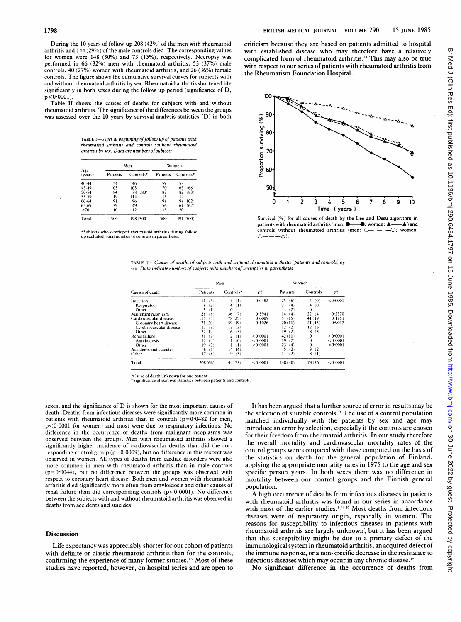During the 10 years of follow up 208 (42%) of the men with rheumatoid arthritis and 144 (29%) of the male controls died. The corresponding values for women were 148 (30%) and 73 (15%), respectively. Necropsy was performed in 66 (32%) men with rheumatoid arthritis, 53 (37%) male controls, 40 (27%) women with rheumatoid arthritis, and 26 (36%) female controls. The figure shows the cumulative survival curves for subjects with and without rheumatoid arthritis by sex. Rheumatoid arthritis shortened life significantly in both sexes during the follow up period (significance of D,  $p < 0.0001$ ).

Table II shows the causes of deaths for subjects with and without rheumatoid arthritis. The significance of the differences between the groups was assessed over the <sup>10</sup> years by survival analysis statistics (D) in both

TABLE I-Ages at beginning of follow up of patients with rheumatoid arthn'tis and controls without rheumatoid arthnrtis by sex. Data are numbers of subjects

| Age<br>(vears) |          | Men        | Women    |            |  |
|----------------|----------|------------|----------|------------|--|
|                | Patients | Controls*  | Patients | Controls*  |  |
| $40 - 44$      | 54       | 46         | ٢9       | 53         |  |
| 45-49          | 103      | 103        | 70       | 65<br>(68) |  |
| 50-54          | 84       | 78<br>(80) | 87       | 82<br>(83) |  |
| 55-59          | 119      | 114        | 115      | 112        |  |
| $60 - 64$      | 91       | 96         | 98       | 98 (102)   |  |
| 65-69          | 39       | 49         | 56       | 61<br>(62) |  |
| $\geq 70$      | 10       | 12         | 15       | 20         |  |
| Total          | 500      | 498 (500)  | 500      | 491 (500)  |  |

\*Subjects who developed rheumatoid arthritis during follow up excluded (total number of controls in parentheses)

criticism because they are based on patients admitted to hospital with established disease who may therefore have <sup>a</sup> relatively complicated form of rheumatoid arthritis."' This may also be true with respect to our series of patients with rheumatoid arthritis from the Rheumatism Foundation Hospital.



Survival (%) for all causes of death by the Lee and Desu algorithm in patients with rheumatoid arthritis (men:  $\bullet$  , women:  $\bullet$  ) and patients with rheumatoid arthritis (men:  $\bullet$ , women:  $\bullet$ );<br>controls, without, rheumatoid, arthritis (men:  $\circ$  – – – $\circ$ ); controls without rheumatoid arthritis (men: O-- $\triangle$ ).

| TABLE II—Causes of deaths of subjects with and without rheumatoid arthritis (patients and controls) by |
|--------------------------------------------------------------------------------------------------------|
| sex. Data indicate numbers of subjects with numbers of necropsies in parentheses                       |

|                                                                         | Men                              |                                      |                            | Women                              |                                  |                            |
|-------------------------------------------------------------------------|----------------------------------|--------------------------------------|----------------------------|------------------------------------|----------------------------------|----------------------------|
| Causes of death                                                         | Patients                         | Controls*                            | pt                         | Patients                           | Controls                         | pt                         |
| Infection:<br>Respiratory<br>Other                                      | 11(3)<br>8<br>(2)<br>(1)         | (1)<br>4<br>(1)<br>4<br>$\mathbf{0}$ | 0.0482                     | 25<br>(6)<br>21<br>(4)<br>(2)<br>4 | (0)<br>4<br>(0)<br>4<br>$\Omega$ | < 0.0001                   |
| Malignant neoplasm<br>Cardiovascular disease:<br>Coronary heart disease | (8)<br>28<br>115(35)<br>71(20)   | (7)<br>36<br>78(25)<br>59 (19)       | 0.3941<br>0.0009<br>0.1026 | 14<br>(4)<br>51(15)<br>20(11)      | 22<br>(4)<br>41(19)<br>21(13)    | 0.2570<br>0.1851<br>0.9017 |
| Cerebrovascular disease<br>Other<br>Renal failure:                      | 17<br>(3)<br>27(12)<br>(7)<br>31 | 13<br>(3)<br>(3)<br>6<br>2<br>(1)    | < 0.0001                   | 12(2)<br>19<br>(2)<br>42(11)       | 12<br>(3)<br>8<br>(3)<br>0       | < 0.0001                   |
| Amvloidosis<br>Other                                                    | 12(4)<br>19<br>(3)               | (0)<br>(1)                           | < 0.0001<br>< 0.0001       | 19<br>(7)<br>23<br>(4)             | $\bf{0}$<br>$\bf{0}$             | < 0.0001<br>< 0.0001       |
| Accidents and suicides<br>Other                                         | (5)<br>6.<br>17<br>(8)           | 14(14)<br>9<br>(5)                   |                            | 5<br>(2)<br>(2)<br>п               | 3<br>(2)<br>3.<br>(1)            |                            |
| Total                                                                   | 208 (66)                         | 144(53)                              | < 0.0001                   | 148(40)                            | 73(26)                           | < 0.0001                   |

\*Cause of death unknown for one patient.<br>†Significance of survival statistics between patients and controls

sexes, and the significance of D is shown for the most important causes of death. Deaths from infectious diseases were significantly more common in patients with rheumatoid arthritis than in controls  $(p=0.0482$  for men, p<0-0001 for women) and most were due to respiratory infections. No difference in the occurrence of deaths from malignant neoplasms was observed between the groups. Men with rheumatoid arthritis showed <sup>a</sup> significantly higher incidence of cardiovascular deaths than did the corresponding control group (p=0-0009), but no difference in this respect was observed in women. All types of deaths from cardiac disorders were also more common in men with rheumatoid arthritis than in male controls  $(p=0.0044)$ , but no difference between the groups was observed with respect to coronary heart disease. Both men and women with rheumatoid arthritis died significantly more often from amyloidosis and other causes of renal failure than did corresponding controls  $(p<0.0001)$ . No difference between the subjects with and without rheumatoid arthritis was observed in deaths from accidents and suicides.

#### Discussion

Life expectancy was appreciably shorter for our cohort of patients with definite or classic rheumatoid arthritis than for the controls, confirming the experience of many former studies.<sup>1,9</sup> Most of these studies have reported, however, on hospital series and are open to

It has been argued that <sup>a</sup> further source of error in results may be the selection of suitable controls.<sup>18</sup> The use of a control population matched individually with the patients by sex and age may introduce an error by selection, especially if the controls are chosen for their freedom from rheumatoid arthritis. In our study therefore the overall mortality and cardiovascular mortality rates of the control groups were compared with those computed on the basis of the statistics on death for the general population of Finland, applying the appropriate mortality rates in 1975 to the age and sex specific person years. In both sexes there was no difference in mortality between our control groups and the Finnish general population.

A high occurrence of deaths from infectious diseases in patients with rheumatoid arthritis was found in our series in accordance with most of the earlier studies.<sup>138-10</sup> Most deaths from infectious diseases were of respiratory origin, especially in women. The reasons for susceptibility to infectious diseases in patients with rheumatoid arthritis are largely unknown, but it has been argued that this susceptibility might be due to a primary defect of the immunological system in rheumatoid arthritis, an acquired defect of the immune response, or a non-specific decrease in the resistance to infectious diseases which may occur in any chronic disease.<sup>19</sup>

No significant difference in the occurrence of deaths from